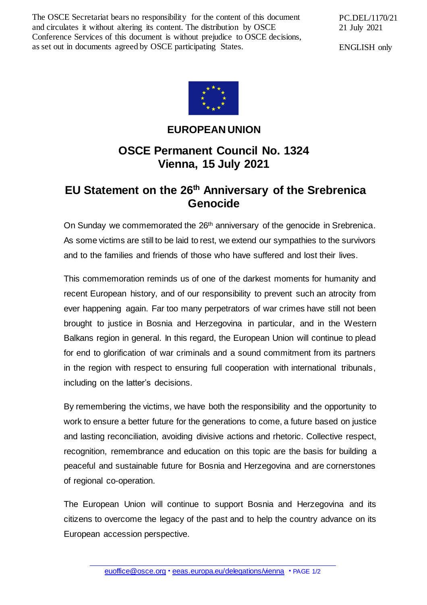The OSCE Secretariat bears no responsibility for the content of this document and circulates it without altering its content. The distribution by OSCE Conference Services of this document is without prejudice to OSCE decisions, as set out in documents agreed by OSCE participating States.

PC.DEL/1170/21 21 July 2021

ENGLISH only



## **EUROPEAN UNION**

## **OSCE Permanent Council No. 1324 Vienna, 15 July 2021**

## **EU Statement on the 26th Anniversary of the Srebrenica Genocide**

On Sunday we commemorated the 26<sup>th</sup> anniversary of the genocide in Srebrenica. As some victims are still to be laid to rest, we extend our sympathies to the survivors and to the families and friends of those who have suffered and lost their lives.

This commemoration reminds us of one of the darkest moments for humanity and recent European history, and of our responsibility to prevent such an atrocity from ever happening again. Far too many perpetrators of war crimes have still not been brought to justice in Bosnia and Herzegovina in particular, and in the Western Balkans region in general. In this regard, the European Union will continue to plead for end to glorification of war criminals and a sound commitment from its partners in the region with respect to ensuring full cooperation with international tribunals, including on the latter's decisions.

By remembering the victims, we have both the responsibility and the opportunity to work to ensure a better future for the generations to come, a future based on justice and lasting reconciliation, avoiding divisive actions and rhetoric. Collective respect, recognition, remembrance and education on this topic are the basis for building a peaceful and sustainable future for Bosnia and Herzegovina and are cornerstones of regional co-operation.

The European Union will continue to support Bosnia and Herzegovina and its citizens to overcome the legacy of the past and to help the country advance on its European accession perspective.